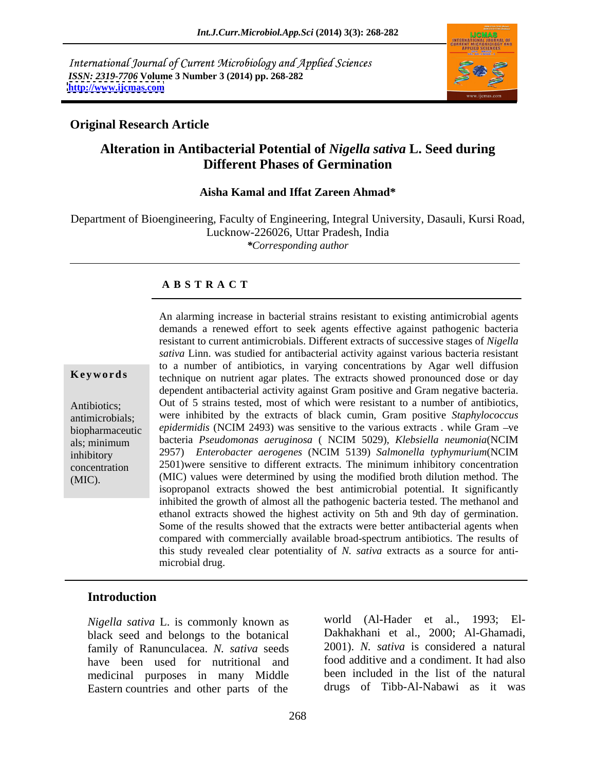International Journal of Current Microbiology and Applied Sciences *ISSN: 2319-7706* **Volume 3 Number 3 (2014) pp. 268-282 <http://www.ijcmas.com>**



# **Original Research Article**

# **Alteration in Antibacterial Potential of** *Nigella sativa* **L. Seed during Different Phases of Germination**

### **Aisha Kamal and Iffat Zareen Ahmad\***

Department of Bioengineering, Faculty of Engineering, Integral University, Dasauli, Kursi Road, Lucknow-226026, Uttar Pradesh, India *\*Corresponding author*

# **A B S T R A C T**

**Keywords** technique on nutrient agar plates. The extracts showed pronounced dose or day Antibiotics; Out of 5 strains tested, most of which were resistant to a number of antibiotics, antimicrobials; were inhibited by the extracts of black cumin, Gram positive *Staphylococcus* biopharmaceutic *epidermidis* (NCIM 2493) was sensitive to the various extracts . while Gram -ve als; minimum bacteria *Pseudomonas aeruginosa* ( NCIM 5029)*, Klebsiella neumonia*(NCIM inhibitory 2957) *Enterobacter aerogenes* (NCIM 5139) *Salmonella typhymurium*(NCIM concentration 2501)were sensitive to different extracts. The minimum inhibitory concentration (MIC). (MIC) values were determined by using the modified broth dilution method. The An alarming increase in bacterial strains resistant to existing antimicrobial agents demands a renewed effort to seek agents effective against pathogenic bacteria resistant to current antimicrobials. Different extracts of successive stages of *Nigella sativa* Linn. was studied for antibacterial activity against various bacteria resistant to a number of antibiotics, in varying concentrations by Agar well diffusion dependent antibacterial activity against Gram positive and Gram negative bacteria. isopropanol extracts showed the best antimicrobial potential. It significantly inhibited the growth of almost all the pathogenic bacteria tested. The methanol and ethanol extracts showed the highest activity on 5th and 9th day of germination. Some of the results showed that the extracts were better antibacterial agents when compared with commercially available broad-spectrum antibiotics. The results of this study revealed clear potentiality of *N. sativa* extracts as a source for anti microbial drug.

# **Introduction**

*Nigella sativa* L. is commonly known as black seed and belongs to the botanical family of Ranunculacea. *N. sativa* seeds have been used for nutritional and medicinal purposes in many Middle Eastern countries and other parts of the

world (Al-Hader et al., 1993; El- Dakhakhani et al., 2000; Al-Ghamadi, 2001). *N. sativa* is considered a natural food additive and a condiment. It had also been included in the list of the natural drugs of Tibb-Al-Nabawi as it was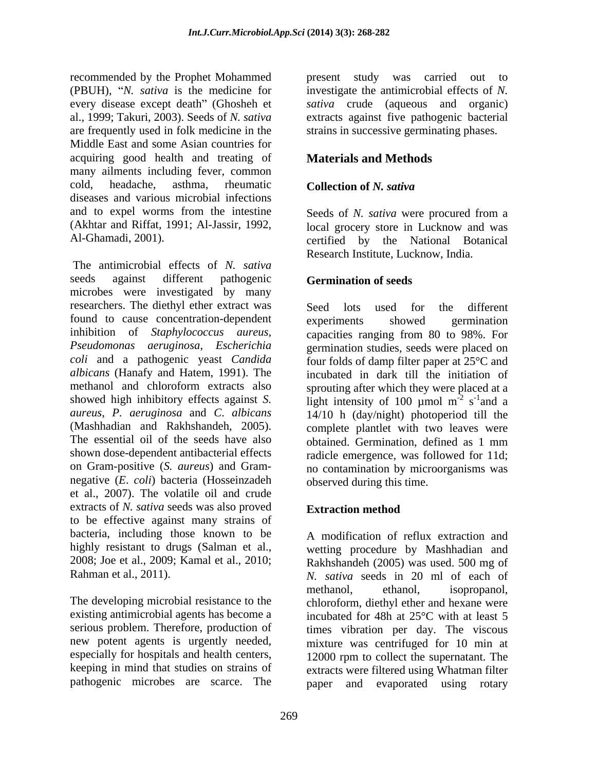recommended by the Prophet Mohammed present study was carried out to (PBUH), "*N. sativa* is the medicine for investigate the antimicrobial effects of *N*. every disease except death" (Ghosheh et al., 1999; Takuri, 2003). Seeds of *N. sativa* extracts against five pathogenic bacterial are frequently used in folk medicine in the Middle East and some Asian countries for acquiring good health and treating of many ailments including fever, common cold, headache, asthma, rheumatic Collection of N. sativa diseases and various microbial infections and to expel worms from the intestine (Akhtar and Riffat, 1991; Al-Jassir, 1992, local grocery store in Lucknow and was

The antimicrobial effects of *N. sativa* seeds against different pathogenic Germination of seeds microbes were investigated by many researchers. The diethyl ether extract was Seed lots used for the different found to cause concentration-dependent inhibition of *Staphylococcus aureus, Pseudomonas aeruginosa*, *Escherichia*  germination studies, seeds were placed on *coli* and a pathogenic yeast *Candida*  four folds of damp filter paper at 25°C and *albicans* (Hanafy and Hatem, 1991). The incubated in dark till the initiation of methanol and chloroform extracts also sprouting after which they were placed at a showed high inhibitory effects against *S*. light intensity of 100 µmol  $m<sup>2</sup> s<sup>-1</sup>$  and a *aureus*, *P. aeruginosa* and *C*. *albicans*  14/10 h (day/night) photoperiod till the (Mashhadian and Rakhshandeh, 2005). complete plantlet with two leaves were The essential oil of the seeds have also obtained. Germination, defined as 1 mm shown dose-dependent antibacterial effects radicle emergence, was followed for 11d; on Gram-positive (*S. aureus*) and Gram- no contamination by microorganisms was negative (*E*. *coli*) bacteria (Hosseinzadeh et al., 2007).The volatile oil and crude extracts of *N. sativa* seeds was also proved to be effective against many strains of bacteria, including those known to be A modification of reflux extraction and highly resistant to drugs (Salman et al., wetting procedure by Mashhadian and 2008; Joe et al., 2009; Kamal et al., 2010; Rakhshandeh (2005) was used. 500 mg of

serious problem. Therefore, production of

*sativa* crude (aqueous and organic) strains in successive germinating phases.

# **Materials and Methods**

# **Collection of** *N. sativa*

Al-Ghamadi, 2001). certified by the National Botanical Seeds of *N. sativa* were procured from a Research Institute, Lucknow, India.

# **Germination of seeds**

Seed lots used for the different experiments showed germination capacities ranging from 80 to 98%. For  $-2$   $-1$  and  $\alpha$  $s^{-1}$  and a  $^{-1}$  and  $\alpha$ and a obtained. Germination, defined as 1 mm observed during this time.

# **Extraction method**

Rahman et al., 2011). *N. sativa* seeds in 20 ml of each of The developing microbial resistance to the chloroform, diethyl ether and hexane were existing antimicrobial agents has become a incubated for 48h at  $25^{\circ}$ C with at least 5 new potent agents is urgently needed, mixture was centrifuged for 10 min at especially for hospitals and health centers, 12000 rpm to collect the supernatant. The keeping in mind that studies on strains of extracts were filtered using Whatman filter pathogenic microbes are scarce. The paper and evaporated using rotarymethanol, ethanol, isopropanol, times vibration per day. The viscous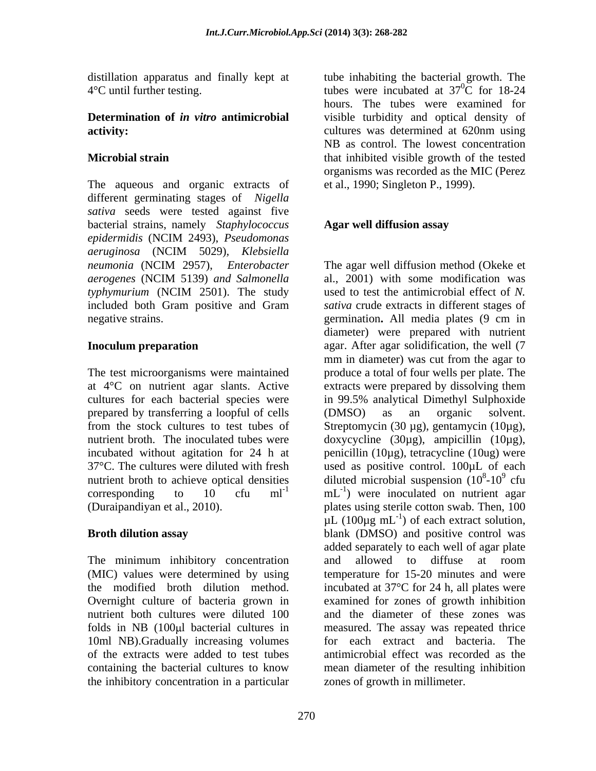distillation apparatus and finally kept at

# **activity:** cultures was determined at 620nm using

The aqueous and organic extracts of different germinating stages of *Nigella sativa* seeds were tested against five bacterial strains, namely *Staphylococcus epidermidis* (NCIM 2493), *Pseudomonas aeruginosa* (NCIM 5029)*, Klebsiella*

at  $4^{\circ}$ C on nutrient agar slants. Active extracts were prepared by dissolving them cultures for each bacterial species were in 99.5% analytical Dimethyl Sulphoxide prepared by transferring a loopful of cells (DMSO) as an organic solvent. incubated without agitation for 24 h at 37°C. The cultures were diluted with fresh

The minimum inhibitory concentration and allowed to diffuse at room Overnight culture of bacteria grown in folds in  $NB$  (100 $µ$ l bacterial cultures in 10ml NB).Gradually increasing volumes the inhibitory concentration in a particular

 $4^{\circ}$ C until further testing.  $\qquad \qquad$  tubes were incubated at  $37^{\circ}$ C for 18-24 **Determination of** *in vitro* **antimicrobial**  visible turbidity and optical density of **Microbial strain EXECUTE:** That inhibited visible growth of the tested tube inhabiting the bacterial growth. The  ${}^{0}C$  for 18-24 hours. The tubes were examined for cultures was determined at 620nm using NB as control. The lowest concentration organisms was recorded as the MIC (Perez et al., 1990; Singleton P., 1999).

# **Agar well diffusion assay**

*neumonia* (NCIM 2957), *Enterobacter aerogenes* (NCIM 5139) *and Salmonella typhymurium* (NCIM 2501). The study included both Gram positive and Gram *sativa* crude extracts in different stages of negative strains. germination**.** All media plates (9 cm in **Inoculum preparation** agar. After agar solidification, the well (7 The test microorganisms were maintained produce a total of four wells per plate. The from the stock cultures to test tubes of Streptomycin (30 µg), gentamycin (10µg), nutrient broth. The inoculated tubes were doxycycline (30µg), ampicillin (10µg), nutrient broth to achieve optical densities diluted microbial suspension  $(10^8\t{-}10^9)$  cfu corresponding to  $10$  cfu ml<sup>-1</sup> mL<sup>-1</sup>) were inoculated on nutrient agar (Duraipandiyan et al., 2010). plates using sterile cotton swab. Then, 100 **Broth dilution assay** blank (DMSO) and positive control was (MIC) values were determined by using temperature for 15-20 minutes and were the modified broth dilution method. incubated at  $37^{\circ}$ C for 24 h, all plates were nutrient both cultures were diluted 100 and the diameter of these zones was of the extracts were added to test tubes antimicrobial effect was recorded as the containing the bacterial cultures to know mean diameter of the resulting inhibition The agar well diffusion method (Okeke et al., 2001) with some modification was used to test the antimicrobial effect of *N.*  diameter) were prepared with nutrient mm in diameter) was cut from the agar to extracts were prepared by dissolving them in 99.5% analytical Dimethyl Sulphoxide (DMSO) as an organic solvent. penicillin (10 $\mu$ g), tetracycline (10 $\mu$ g) were used as positive control. 100µL of each  $8 \frac{10^9 \text{ of } }{2}$  $-10^9$  cfu cfu and the control of the control of the control of the control of the control of the control of the control of the control of the control of the control of the control of the control of the control of the control of the  $\mu$ L (100 $\mu$ g mL<sup>-1</sup>) of each extract solution, added separately to each well of agar plate and allowed to diffuse at room examined for zones of growth inhibition measured. The assay was repeated thrice for each extract and bacteria. The zones of growth in millimeter.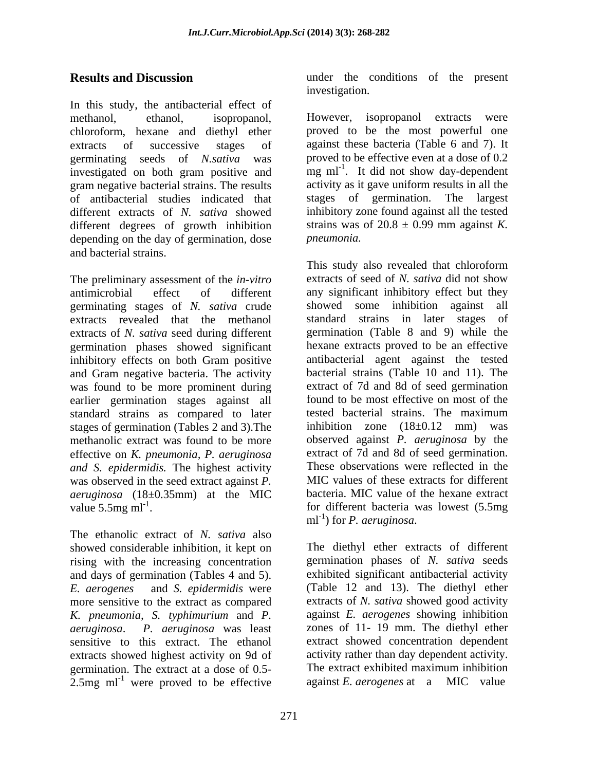In this study, the antibacterial effect of methanol, ethanol, isopropanol, However, isopropanol extracts were chloroform, hexane and diethyl ether extracts of successive stages of against these bacteria (Table 6 and 7). It germinating seeds of *N.sativa* was investigated on both gram positive and mg ml<sup>-1</sup>. It did not show day-dependent gram negative bacterial strains. The results activity as it gave uniform results in all the gram negative bacterial strains. The results of antibacterial studies indicated that different extracts of *N. sativa* showed inhibitory zone found against all the tested different degrees of growth inhibition strains was<br>depending on the day of germination dose *pneumonia*. depending on the day of germination, dose and bacterial strains.

The preliminary assessment of the *in-vitro* germinating stages of *N. sativa* crude extracts revealed that the methanol standard strains in later stages of germination phases showed significant inhibitory effects on both Gram positive and Gram negative bacteria. The activity was found to be more prominent during earlier germination stages against all found to be most effective on most of the standard strains as compared to later tested bacterial strains. The maximum standard strains as compared to later stages of germination (Tables 2 and 3).The methanolic extract was found to be more effective on *K. pneumonia, P. aeruginosa and S. epidermidis.* The highest activity was observed in the seed extract against *P. aeruginosa* (18±0.35mm) at the MIC

The ethanolic extract of *N. sativa* also showed considerable inhibition, it kept on The diethyl ether extracts of different rising with the increasing concentration and days of germination (Tables 4 and 5). *E. aerogenes* and *S. epidermidis* were (Table 12 and 13). The diethyl ether more sensitive to the extract as compared *K. pneumonia, S. typhimurium* and *P. aeruginosa*. *P. aeruginosa* was least sensitive to this extract. The ethanol extract showed concentration dependent extracts showed highest activity on 9d of germination. The extract at a dose of 0.5- 2.5mg  $ml^{-1}$  were proved to be effective

**Results and Discussion** under the conditions of the present investigation.

> proved to be the most powerful one proved to be effective even at a dose of 0.2 mg  $ml^{-1}$ . It did not show day-dependent . It did not show day-dependent activity as it gave uniform results in all the stages of germination. The largest strains was of  $20.8 \pm 0.99$  mm against *K*. *pneumonia.*

antimicrobial effect of different any significant inhibitory effect but they extracts of *N. sativa* seed during different germination (Table 8 and 9) while the value 5.5mg ml<sup>-1</sup>. for different bacteria was lowest (5.5mg) This study also revealed that chloroform extracts of seed of *N. sativa* did not show showed some inhibition against standard strains in later stages hexane extracts proved to be an effective antibacterial agent against the tested bacterial strains (Table 10 and 11). The extract of 7d and 8d of seed germination found to be most effective on most of the tested bacterial strains. The maximum inhibition zone (18±0.12 mm) was observed against *P. aeruginosa* by the extract of 7d and 8d of seed germination. These observations were reflected in the MIC values of these extracts for different bacteria. MIC value of the hexane extract ml<sup>-1</sup>) for *P. aeruginosa*. ) for *P. aeruginosa*.

were proved to be effective against *E. aerogenes* at a MIC value germination phases of *N. sativa* seeds exhibited significant antibacterial activity extracts of *N. sativa* showed good activity against *E. aerogenes* showing inhibition zones of 11- 19 mm. The diethyl ether activity rather than day dependent activity. The extract exhibited maximum inhibition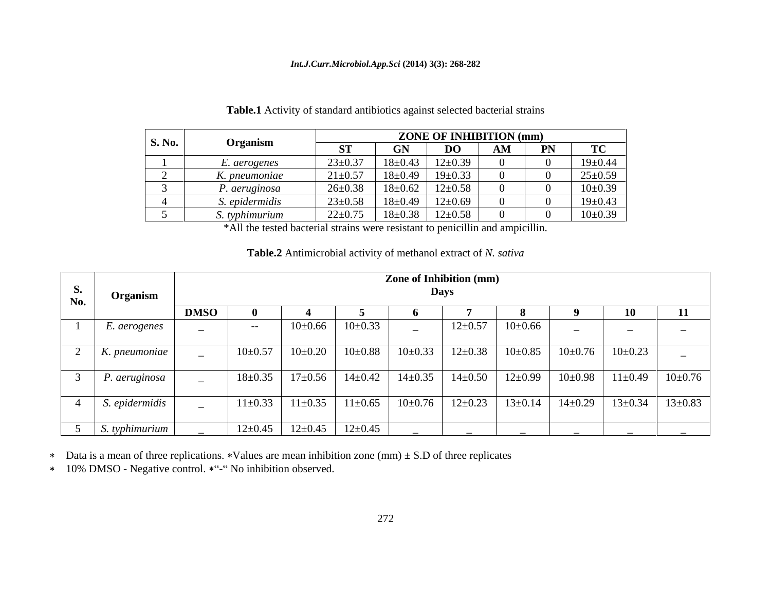### *Int.J.Curr.Microbiol.App.Sci* **(2014) 3(3): 268-282**

| S. No. |                                                             |               |               | <b>ZONE OF INHIBITION (mm)</b> |                  |               |
|--------|-------------------------------------------------------------|---------------|---------------|--------------------------------|------------------|---------------|
|        | Organism<br>the contract of the contract of the contract of | - 51          |               | DO.                            | $PN \rightarrow$ | TC            |
|        | aerogenes                                                   | $23 \pm 0.37$ |               | $18\pm0.43$   $12\pm0.39$      |                  | $19 \pm 0.44$ |
|        | K. pneumoniae                                               | $21 \pm 0.57$ |               | $18\pm0.49$   $19\pm0.33$      |                  | $25 \pm 0.59$ |
|        | aeruginosa.''                                               | $26 \pm 0.38$ | $18\pm0.62$   | $12{\pm}0.58$                  |                  | $10\pm0.39$   |
|        | s. epiderr                                                  | $23 \pm 0.58$ | $18{\pm}0.49$ | $12 \pm 0.69$                  |                  | $19 \pm 0.43$ |
|        |                                                             | $22 \pm 0.75$ |               | $18\pm0.38$   $12\pm0.58$      |                  | $10\pm0.39$   |

# **Table.1** Activity of standard antibiotics against selected bacterial strains

\*All the tested bacterial strains were resistant to penicillin and ampicillin.

| <b>Table.2</b> Antimicrobial activity of methanol extract of N<br>V. satıva |  |
|-----------------------------------------------------------------------------|--|
|                                                                             |  |

| S.<br>No. | Organism        |             |               |              |                             |               | <b>Zone of Inhibition (mm)</b><br>Days |               |               |                          |                          |
|-----------|-----------------|-------------|---------------|--------------|-----------------------------|---------------|----------------------------------------|---------------|---------------|--------------------------|--------------------------|
|           |                 | <b>DMSO</b> |               |              |                             |               |                                        |               |               | <b>10</b>                |                          |
|           | E. aerogenes    | $\sim$      | $ -$          | $10\pm 0.66$ | $10\pm0.33$                 | $\sim$        | $12 \pm 0.57$                          | $10\pm 0.66$  |               | $\sim$                   |                          |
|           | $K.$ pneumoniae |             | $10\pm 0.57$  | $10\pm0.20$  | $10\pm0.88$                 | $10 \pm 0.33$ | $12 \pm 0.38$                          | $10\pm 0.85$  | $10{\pm}0.76$ | $10\pm0.23$              | $\overline{\phantom{0}}$ |
|           | P. aeruginosa   |             | $18 \pm 0.35$ |              | $17\pm0.56$ $14\pm0.42$     | $14 \pm 0.35$ | $14 \pm 0.50$                          | $12 \pm 0.99$ | $10\pm0.98$   | $11 \pm 0.49$            | $10\pm0.76$              |
|           | S. epidermidis  |             | $11 \pm 0.33$ |              | $11\pm0.35$ 11 $\pm0.65$    | $10{\pm}0.76$ | $12 \pm 0.23$                          | $13 \pm 0.14$ |               | $14\pm0.29$ 13 $\pm0.34$ | $13 \pm 0.83$            |
|           | S. typhimurium  |             | $12 \pm 0.45$ |              | $12 \pm 0.45$ 12 $\pm 0.45$ |               |                                        |               |               |                          |                          |

 $\ast$  Data is a mean of three replications.  $\ast$ Values are mean inhibition zone (mm)  $\pm$  S.D of three replicates

\* 10% DMSO - Negative control. \* "- "No inhibition observed.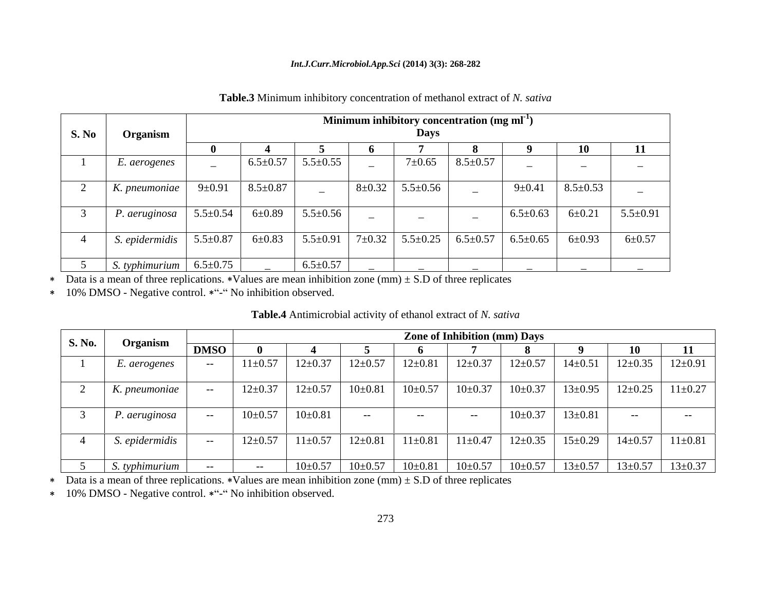### *Int.J.Curr.Microbiol.App.Sci* **(2014) 3(3): 268-282**

| <b>S. No</b> | Organism                                              |                |                                 |                |                | <b>Minimum inhibitory concentration (mg ml</b> <sup>-1</sup> )<br><b>Days</b> |                |                |                          |                |
|--------------|-------------------------------------------------------|----------------|---------------------------------|----------------|----------------|-------------------------------------------------------------------------------|----------------|----------------|--------------------------|----------------|
|              |                                                       |                |                                 |                |                |                                                                               |                |                | 10                       |                |
|              | E. aerogenes                                          |                | $6.5 \pm 0.57$   5.5 $\pm$ 0.55 |                | <b>Section</b> | $7 \pm 0.65$                                                                  | $8.5 \pm 0.57$ |                | $\overline{\phantom{0}}$ |                |
|              | $K.$ pneumoniae                                       | $9 \pm 0.91$   | $8.5 \pm 0.87$                  | $\sim$         |                | $8\pm0.32$ 5.5 $\pm0.56$                                                      |                | $9 \pm 0.41$   | $8.5 \pm 0.53$           |                |
|              | deruginosa?                                           | $5.5 \pm 0.54$ | $6 \pm 0.89$                    | $5.5 \pm 0.56$ | $\sim$         | $\sim$                                                                        |                | $6.5 \pm 0.63$ | $6 \pm 0.21$             | $5.5 \pm 0.91$ |
|              | S. epidermidis $\Big  5.5 \pm 0.87$                   |                | $6 \pm 0.83$                    |                |                |                                                                               |                |                | $6 \pm 0.93$             | $6 + 0.57$     |
|              | $\vert$ S. typhimurium $\vert$ 6.5 $\pm$ 0.75 $\vert$ |                |                                 | $6.5 \pm 0.57$ |                |                                                                               |                |                |                          |                |

### **Table.3** Minimum inhibitory concentration of methanol extract of *N. sativa*

 $\ast$  Data is a mean of three replications.  $\ast$ Values are mean inhibition zone (mm)  $\pm$  S.D of three replicates

\* 10% DMSO - Negative control. \* "- "No inhibition observed.

| Table.4 Antimicrobial activity | $\pm$ ethanol extract of N<br>. satıva |  |  |
|--------------------------------|----------------------------------------|--|--|
|                                |                                        |  |  |

|               |                               |                                   |               |               |               | <b>Zone of Inhibition (mm) Days</b> |                          |               |                                                       |                          |                             |
|---------------|-------------------------------|-----------------------------------|---------------|---------------|---------------|-------------------------------------|--------------------------|---------------|-------------------------------------------------------|--------------------------|-----------------------------|
| <b>S. No.</b> | Organism                      | <b>DMSO</b>                       |               |               |               |                                     |                          |               |                                                       | 10-                      | 11                          |
|               | E. aerogenes                  | $\sim$ $\sim$                     | $11 \pm 0.57$ | $12 \pm 0.37$ | $12 \pm 0.57$ |                                     | $12\pm0.81$ 12 $\pm0.37$ | $12 \pm 0.57$ | $14 \pm 0.51$                                         |                          | $12\pm 0.35$ $12\pm 0.91$   |
|               | K. pneumoniae                 | <b>Service</b>                    | $12 \pm 0.37$ | $12 \pm 0.57$ | $10{\pm}0.81$ | $10 \pm 0.57$                       | $10\pm 0.37$             | $10\pm0.37$   | $13 \pm 0.95$                                         |                          | $12 \pm 0.25$ 11 $\pm 0.27$ |
|               | P. aeruginosa                 | $\sim$ $ \sim$                    | $10{\pm}0.57$ | $10\pm0.81$   |               | $- -$                               |                          | $10\pm0.37$   | $13 \pm 0.81$                                         | $-  \,$                  | ——                          |
|               | S. epidermidis                | <b>Contract Contract Contract</b> | $12 \pm 0.57$ | $11 \pm 0.57$ | $12{\pm}0.81$ |                                     | $11\pm0.81$ $11\pm0.47$  |               | $12\pm0.35$ $15\pm0.29$                               | $14 \pm 0.57$            | $11 \pm 0.81$               |
|               | $\vert$ <i>S. typhimurium</i> | $- -$                             | $- - -$       | $10{\pm}0.57$ | $10{\pm}0.57$ |                                     |                          |               | $10\pm0.81$   $10\pm0.57$   $10\pm0.57$   $13\pm0.57$ | $13\pm0.57$ 13 $\pm0.37$ |                             |

 $\ast$  Data is a mean of three replications.  $\ast$ Values are mean inhibition zone (mm)  $\pm$  S.D of three replicates

\* 10% DMSO - Negative control. \* "- " No inhibition observed.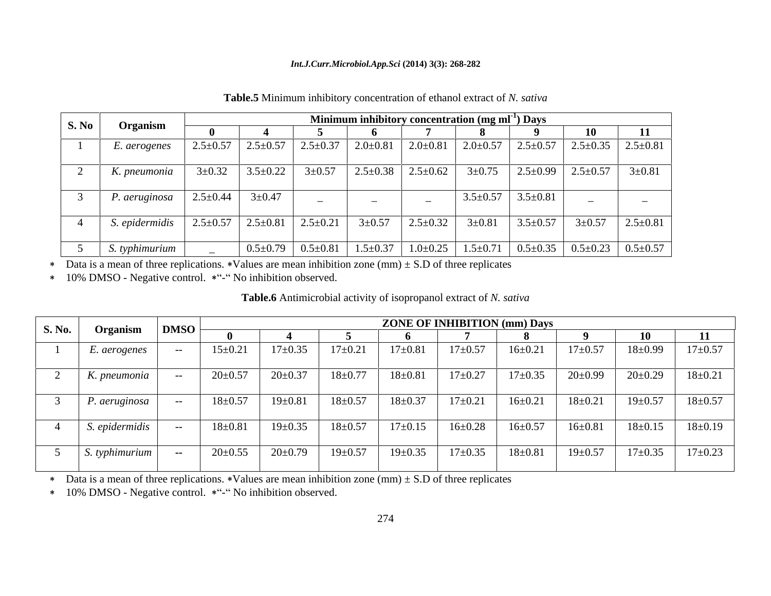### *Int.J.Curr.Microbiol.App.Sci* **(2014) 3(3): 268-282**

| <b>S. No</b> |                |                             |                |                                 |              | Minimum inhibitory concentration (mg ml <sup>-1</sup> ) Days                                                                            |                             |                                                              |                                                                                                         |
|--------------|----------------|-----------------------------|----------------|---------------------------------|--------------|-----------------------------------------------------------------------------------------------------------------------------------------|-----------------------------|--------------------------------------------------------------|---------------------------------------------------------------------------------------------------------|
|              | Organism       |                             |                |                                 |              |                                                                                                                                         |                             |                                                              |                                                                                                         |
|              | E. aerogenes   | $2.5 \pm 0.57$              |                |                                 |              | $\vert$ 2.5±0.57 $\vert$ 2.5±0.37 $\vert$ 2.0±0.81 $\vert$ 2.0±0.81 $\vert$ 2.0±0.57 $\vert$ 2.5±0.57 $\vert$ 2.5±0.35 $\vert$ 2.5±0.81 |                             |                                                              |                                                                                                         |
|              |                |                             |                |                                 |              |                                                                                                                                         |                             |                                                              |                                                                                                         |
|              | K. pneumonia   | $3 \pm 0.32$                | $3.5 \pm 0.22$ | $3 \pm 0.57$                    |              | $\vert$ 2.5±0.38 $\vert$ 2.5±0.62 $\vert$ 3±0.75 $\vert$ 2.5±0.99 $\vert$ 2.5±0.57 $\vert$ 3±0.81                                       |                             |                                                              |                                                                                                         |
|              |                |                             |                |                                 |              |                                                                                                                                         |                             |                                                              |                                                                                                         |
|              | P. aeruginosa  | $2.5 \pm 0.44$ $3 \pm 0.47$ |                |                                 |              |                                                                                                                                         | $3.5\pm0.57$ 3.5 $\pm$ 0.81 |                                                              |                                                                                                         |
|              |                |                             |                |                                 |              |                                                                                                                                         |                             |                                                              |                                                                                                         |
|              | S. epidermidis | $2.5 \pm 0.57$              |                | $2.5 \pm 0.81$   $2.5 \pm 0.21$ | $3 \pm 0.57$ |                                                                                                                                         |                             | $2.5\pm0.32$ $3\pm0.81$ $3.5\pm0.57$ $3\pm0.57$ $2.5\pm0.81$ |                                                                                                         |
|              |                |                             |                |                                 |              |                                                                                                                                         |                             |                                                              |                                                                                                         |
|              | S. typhimurium |                             |                |                                 |              |                                                                                                                                         |                             |                                                              | $0.5\pm0.79$ $0.5\pm0.81$ $1.5\pm0.37$ $1.0\pm0.25$ $1.5\pm0.71$ $0.5\pm0.35$ $0.5\pm0.23$ $0.5\pm0.57$ |

### **Table.5** Minimum inhibitory concentration of ethanol extract of *N. sativa*

 $\ast$  Data is a mean of three replications.  $\ast$ Values are mean inhibition zone (mm)  $\pm$  S.D of three replicates

\* 10% DMSO - Negative control. \*"-" No inhibition observed.

# **Table.6** Antimicrobial activity of isopropanol extract of *N. sativa*

| <b>S. No.</b> |                | <b>DMSO</b>   |               |               |               |               | <b>ZONE OF INHIBITION (mm) Days</b> |               |               |               |               |
|---------------|----------------|---------------|---------------|---------------|---------------|---------------|-------------------------------------|---------------|---------------|---------------|---------------|
|               | Organism       |               |               |               |               |               |                                     |               |               | 10            |               |
|               | E. aerogenes   |               | $15 \pm 0.21$ | $17 \pm 0.35$ | $17 \pm 0.21$ | $7 + 0.81$    | $17 + 0.57$                         | $16 \pm 0.21$ | $17+0.57$     | $18 \pm 0.99$ | $17+0.57$     |
|               | K. pneumonia   |               | $20 \pm 0.57$ | $20 \pm 0.37$ | $18 + 0.77$   | $18 \pm 0.81$ | $17 + 0.27$                         | $17 \pm 0.35$ | $20 \pm 0.99$ | $20 \pm 0.29$ | $18 \pm 0.21$ |
|               | P. aeruginosa  | $- -$         | $18 \pm 0.57$ | $19 \pm 0.81$ | $18 \pm 0.57$ | $18 \pm 0.37$ | $17 + 0.21$                         | $16 \pm 0.21$ | $18 \pm 0.21$ | $19 \pm 0.57$ | $18 \pm 0.57$ |
|               | S. epidermidis | $- -$         | $18 \pm 0.81$ | $19 \pm 0.35$ | $18 \pm 0.57$ | $17 \pm 0.15$ | $16 \pm 0.28$                       | $16 \pm 0.57$ | $16 \pm 0.81$ | $18 \pm 0.15$ | $18 \pm 0.19$ |
|               | S. typhimurium | $\sim$ $\sim$ | $20 \pm 0.55$ | $20 \pm 0.79$ | $19 \pm 0.57$ | $19 \pm 0.35$ | $17 \pm 0.35$                       | $18 + 0.81$   | $19 \pm 0.57$ | $17 \pm 0.35$ | $17 \pm 0.23$ |

 $\ast$  Data is a mean of three replications.  $\ast$ Values are mean inhibition zone (mm)  $\pm$  S.D of three replicates

\* 10% DMSO - Negative control. \* "- " No inhibition observed.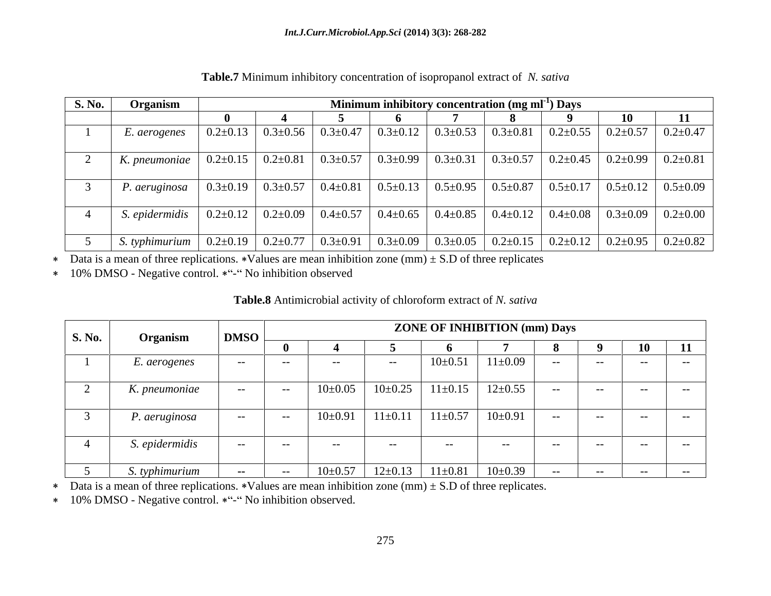| S. No. | Organism                                                                                                                                                        |  |  | Minimum inhibitory concentration (mg ml <sup>-1</sup> ) Days |  |                                                                                               |
|--------|-----------------------------------------------------------------------------------------------------------------------------------------------------------------|--|--|--------------------------------------------------------------|--|-----------------------------------------------------------------------------------------------|
|        |                                                                                                                                                                 |  |  |                                                              |  |                                                                                               |
|        |                                                                                                                                                                 |  |  |                                                              |  |                                                                                               |
|        | K. pneumoniae   $0.2\pm0.15$   $0.2\pm0.81$   $0.3\pm0.57$   $0.3\pm0.99$   $0.3\pm0.31$   $\overline{0.3\pm0.57}$   $0.2\pm0.45$   $0.2\pm0.99$   $0.2\pm0.81$ |  |  |                                                              |  |                                                                                               |
|        | <i>P. aeruginosa</i>   $0.3 \pm 0.19$   $0.3 \pm 0.57$   $0.4 \pm 0.81$                                                                                         |  |  |                                                              |  | $1   0.5 \pm 0.13   0.5 \pm 0.95   0.5 \pm 0.87   0.5 \pm 0.17   0.5 \pm 0.12   0.5 \pm 0.09$ |
|        |                                                                                                                                                                 |  |  |                                                              |  |                                                                                               |
|        |                                                                                                                                                                 |  |  |                                                              |  |                                                                                               |

**Table.7** Minimum inhibitory concentration of isopropanol extract of *N. sativa*

Data is a mean of three replications. \*Values are mean inhibition zone (mm)  $\pm$  S.D of three replicates  $\star$ 

\* 10% DMSO - Negative control. \*"-" No inhibition observed

**Table.8** Antimicrobial activity of chloroform extract of *N. sativa*

| <b>S. No.</b> | Organism       | DMSO   |                 |              |             |                         | <b>ZONE OF INHIBITION (mm) Days</b>   |       |       |       |       |
|---------------|----------------|--------|-----------------|--------------|-------------|-------------------------|---------------------------------------|-------|-------|-------|-------|
|               |                |        |                 |              |             |                         |                                       |       |       |       |       |
|               | E. aerogenes   | $-$    | $ -$            | $- -$        | $- -$       | $10 \pm 0.51$           | $11 \pm 0.09$                         |       | $- -$ |       |       |
|               | K. pneumoniae  | $ -$   | $\sim$          | $10\pm0.05$  |             |                         | $10\pm0.25$ 11 $\pm0.15$ 12 $\pm0.55$ | $- -$ | $ -$  | $- -$ | $- -$ |
|               | P. aeruginosa  | $ -$   | $\sim 10^{-10}$ | $10\pm0.91$  |             | $11\pm0.11$ $11\pm0.57$ | $10 \pm 0.91$                         | $-$   | $- -$ | $- -$ | $--$  |
|               | S. epidermidis | $- -$  | $--$            | $- -$        | $- -$       | $- -$                   | $- -$                                 | $- -$ | $--$  | $- -$ | $- -$ |
|               | S. typhimurium | $\sim$ | $\sim 100$      | $10\pm 0.57$ | $12\pm0.13$ | $11 \pm 0.81$           | $10 \pm 0.39$                         | $- -$ | $- -$ | $- -$ | $- -$ |

\* Data is a mean of three replications. \*Values are mean inhibition zone (mm)  $\pm$  S.D of three replicates.

\* 10% DMSO - Negative control. \*"-" No inhibition observed.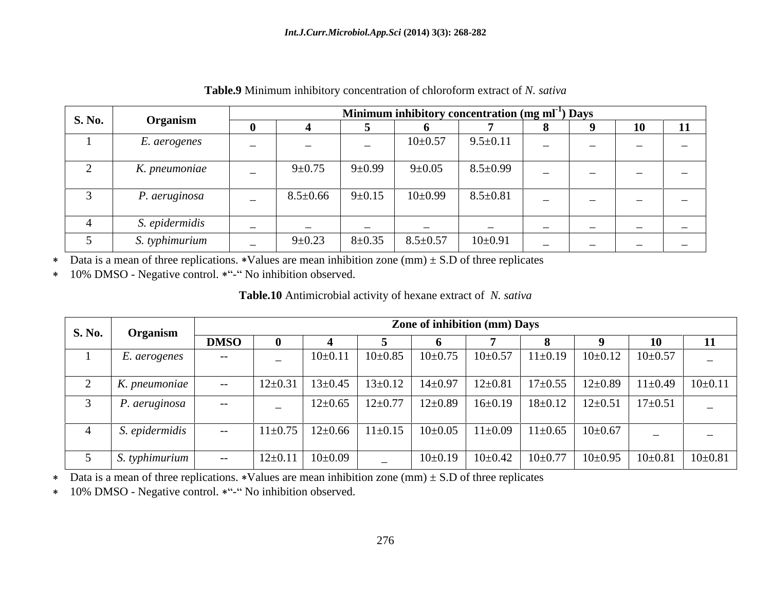| <b>S. No.</b> |                |                          |              |                          | Minimum inhibitory concentration (mg ml <sup>-1</sup> ) Days |                          |                                   |    |                          |
|---------------|----------------|--------------------------|--------------|--------------------------|--------------------------------------------------------------|--------------------------|-----------------------------------|----|--------------------------|
|               | Organism       |                          |              |                          |                                                              |                          |                                   | 10 |                          |
|               | E. aerogenes   | $\overline{\phantom{0}}$ | $\sim$       | $10 \pm 0.57$            | $9.5 \pm 0.11$                                               | $\sim$                   | <b>Contract Contract Contract</b> |    | $\sim$ $-$               |
|               | K. pneumoniae  | $9 \pm 0.75$             | $9 \pm 0.99$ | $9 \pm 0.05$             | $8.5 \pm 0.99$                                               | $\sim$                   | $\overline{\phantom{0}}$          |    | $\overline{\phantom{0}}$ |
|               | P. aeruginosa  | $8.5 \pm 0.66$           | $9 \pm 0.15$ | $10\pm0.99$              | $8.5 \pm 0.81$                                               | $\overline{\phantom{0}}$ | $\overline{\phantom{0}}$          |    | $\overline{\phantom{0}}$ |
|               | S. epidermidis | $\overline{\phantom{0}}$ |              | $\overline{\phantom{a}}$ |                                                              | $\sim$                   | $\overline{\phantom{0}}$          |    |                          |
|               | S. typhimurium | $9 \pm 0.23$             | $8 + 0.35$   | $8.5 \pm 0.57$           | $10\pm0.91$                                                  | $\sim$                   | $\overline{\phantom{0}}$          |    | $\overline{\phantom{0}}$ |

**Table.9** Minimum inhibitory concentration of chloroform extract of *N. sativa*

Data is a mean of three replications. \*Values are mean inhibition zone (mm)  $\pm$  S.D of three replicates  $\star$ 

\* 10% DMSO - Negative control. \* "- "No inhibition observed.

# **Table.10** Antimicrobial activity of hexane extract of *N. sativa*

| <b>S. No.</b> | <b>Organism</b>                                                                                                                                                        |             |                                                             |               | Zone of inhibition (mm) Days        |             |               |                           |                                                 |               |
|---------------|------------------------------------------------------------------------------------------------------------------------------------------------------------------------|-------------|-------------------------------------------------------------|---------------|-------------------------------------|-------------|---------------|---------------------------|-------------------------------------------------|---------------|
|               |                                                                                                                                                                        | <b>DMSO</b> |                                                             |               |                                     |             |               |                           |                                                 |               |
|               | E. aerogenes                                                                                                                                                           |             | $10 \pm 0.11$                                               |               | $10\pm0.85$ $10\pm0.75$ $10\pm0.57$ |             | $11 \pm 0.19$ | $10\pm0.12$   $10\pm0.57$ |                                                 |               |
|               | $K.$ pneumoniae                                                                                                                                                        |             | $12\pm0.31$ $13\pm0.45$ $13\pm0.12$ $14\pm0.97$ $12\pm0.81$ |               |                                     |             |               |                           | $17\pm0.55$ $12\pm0.89$ $11\pm0.49$ $10\pm0.11$ |               |
|               | P. aeruginosa                                                                                                                                                          |             | $12 \pm 0.65$                                               | $12 \pm 0.77$ | $12\pm0.89$ 16 $\pm0.19$            |             | $18 \pm 0.12$ | $12\pm0.51$ 17 $\pm0.51$  |                                                 |               |
|               | S. epidermidis                                                                                                                                                         |             | $11\pm0.75$ 12 $\pm0.66$                                    | $11 \pm 0.15$ | $10\pm0.05$ 11 $\pm0.09$            |             |               | $11\pm0.65$   $10\pm0.67$ |                                                 |               |
|               | $S.$ typhimurium                                                                                                                                                       |             | $12\pm0.11$ 10 $\pm0.09$                                    |               | $10\pm0.19$                         | $10\pm0.42$ | $10 \pm 0.77$ |                           | $10\pm0.95$ $10\pm0.81$                         | $10 \pm 0.81$ |
|               | Data is a mean of three replications. *Values are mean inhibition zone (mm) $\pm$ S.D of three replicates<br>10% DMSO - Negative control. *"-" No inhibition observed. |             |                                                             |               |                                     |             |               |                           |                                                 |               |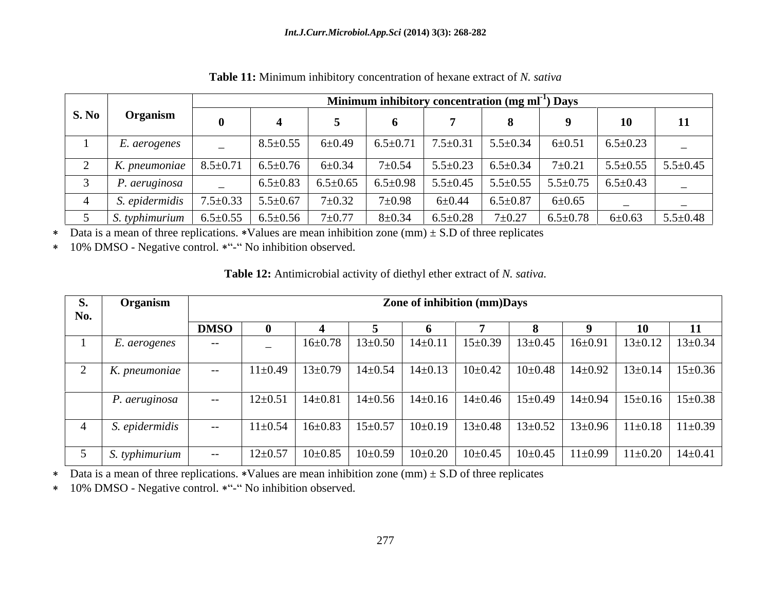|              | Organism                                      |                | Minimum inhibitory concentration (mg ml <sup>-1</sup> ) Days |              |                |                                                                                         |                               |                |                |                               |  |  |  |  |
|--------------|-----------------------------------------------|----------------|--------------------------------------------------------------|--------------|----------------|-----------------------------------------------------------------------------------------|-------------------------------|----------------|----------------|-------------------------------|--|--|--|--|
| <b>S. No</b> |                                               |                |                                                              |              |                |                                                                                         |                               |                |                | 11                            |  |  |  |  |
|              | E. aerogenes                                  |                | $8.5 \pm 0.55$                                               | $6 \pm 0.49$ | 6.5 $\pm$ 0.71 | $7.5 \pm 0.31$                                                                          | $5.5 \pm 0.34$                | $6 \pm 0.51$   | $6.5 \pm 0.23$ |                               |  |  |  |  |
|              | K. pneumoniae   $8.5\pm0.71$                  |                | $6.5 \pm 0.76$                                               | $6 \pm 0.34$ | $7 + 0.54$     | $5.5 \pm 0.23$                                                                          | $\sim$   6.5 $\pm$ 0.34 $\pm$ | $7 + 0.21$     |                | $5.5 \pm 0.55$ 5.5 $\pm 0.45$ |  |  |  |  |
|              | P. aeruginosa                                 |                | $6.5 \pm 0.83$                                               |              |                | $6.5\pm0.65$   $6.5\pm0.98$   $5.5\pm0.45$   $5.5\pm0.55$   $5.5\pm0.75$   $6.5\pm0.43$ |                               |                |                |                               |  |  |  |  |
|              | S. epidermidis                                | $7.5 \pm 0.33$ | $5.5 \pm 0.67$                                               | $7 + 0.32$   | $7 \pm 0.98$   | $6 \pm 0.44$                                                                            | $6.5 \pm 0.87$                | $6 \pm 0.65$   |                |                               |  |  |  |  |
|              | $\vert$ S. typhimurium $\vert$ 6.5 $\pm$ 0.55 |                | $6.5 \pm 0.56$                                               | $7 + 0.77$   | $8 + 0.34$     | $6.5 \pm 0.28$                                                                          | $7 + 0.27$                    | $6.5 \pm 0.78$ | $6 \pm 0.63$   | $5.5 \pm 0.48$                |  |  |  |  |

**Table 11:** Minimum inhibitory concentration of hexane extract of *N. sativa*

\* Data is a mean of three replications. \*Values are mean inhibition zone (mm)  $\pm$  S.D of three replicates

\* 10% DMSO - Negative control. \*"-" No inhibition observed.

| <b>S.</b><br>No. | Organism                                                                                                                                                               |             |               |                          |                               | <b>Zone of inhibition (mm)Days</b> |                         |                                                       |                               |
|------------------|------------------------------------------------------------------------------------------------------------------------------------------------------------------------|-------------|---------------|--------------------------|-------------------------------|------------------------------------|-------------------------|-------------------------------------------------------|-------------------------------|
|                  |                                                                                                                                                                        | <b>DMSO</b> |               |                          |                               |                                    |                         |                                                       | 11                            |
|                  | E. aerogenes                                                                                                                                                           | $-$         |               |                          | $16\pm0.78$   $13\pm0.50$     | $14\pm0.11$                        |                         | $15\pm0.39$ 13 $\pm0.45$ 16 $\pm0.91$                 | $13\pm0.12$   $13\pm0.34$     |
|                  | $K.$ pneumoniae                                                                                                                                                        | $-$         | $11 \pm 0.49$ | $13\pm0.79$ 14 $\pm0.54$ |                               |                                    | $14\pm0.13$ $10\pm0.42$ | $10\pm0.48$ 14 $\pm0.92$                              | $13\pm0.14$   $15\pm0.36$     |
|                  | P. aeruginosa                                                                                                                                                          |             | $12 \pm 0.5$  |                          | $14\pm0.81$   $14\pm0.56$     |                                    |                         | $14\pm0.16$   $14\pm0.46$   $15\pm0.49$   $14\pm0.94$ | $15 \pm 0.16$   $15 \pm 0.38$ |
|                  | S. epidermidis                                                                                                                                                         |             | $11 \pm 0.54$ |                          | $16 \pm 0.83$   $15 \pm 0.57$ |                                    |                         | $10\pm0.19$   $13\pm0.48$   $13\pm0.52$   $13\pm0.96$ | $11\pm0.18$ 11 $\pm0.39$      |
|                  | S. typhimurium                                                                                                                                                         |             | $12 \pm 0.57$ |                          | $10\pm0.85$ $10\pm0.59$       |                                    |                         | $10\pm0.20$ $10\pm0.45$ $10\pm0.45$ $11\pm0.99$       | $11 \pm 0.20$ $14 \pm 0.41$   |
|                  | Data is a mean of three replications. *Values are mean inhibition zone (mm) $\pm$ S.D of three replicates<br>10% DMSO - Negative control. *"-" No inhibition observed. |             |               |                          |                               |                                    |                         |                                                       |                               |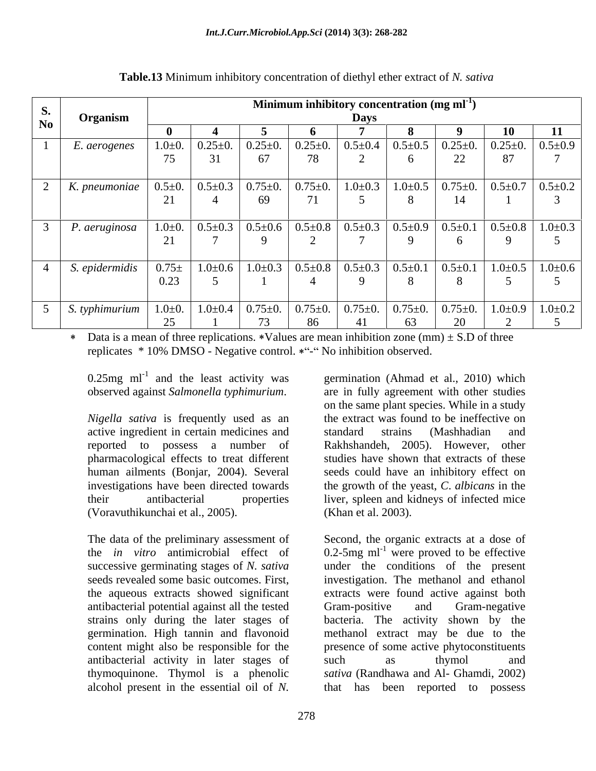|          |                                                                                                                                                                      | Minimum inhibitory concentration $(mg \, ml^{-1})$ |  |  |  |  |                                                                                                                                                                      |                    |         |                                                                                                 |  |  |  |
|----------|----------------------------------------------------------------------------------------------------------------------------------------------------------------------|----------------------------------------------------|--|--|--|--|----------------------------------------------------------------------------------------------------------------------------------------------------------------------|--------------------|---------|-------------------------------------------------------------------------------------------------|--|--|--|
| S.<br>No | <b>Organism</b>                                                                                                                                                      |                                                    |  |  |  |  |                                                                                                                                                                      |                    |         |                                                                                                 |  |  |  |
|          |                                                                                                                                                                      |                                                    |  |  |  |  |                                                                                                                                                                      |                    |         | 11                                                                                              |  |  |  |
|          | E. aerogenes                                                                                                                                                         |                                                    |  |  |  |  | $1.0\pm0.$ $\big $ 0.25 $\pm$ 0. $\big $ 0.25 $\pm$ 0. $\big $ 0.25 $\pm$ 0. $\big $ 0.5 $\pm$ 0.4 $\big $ 0.5 $\pm$ 0.5 $\big $ 0.25 $\pm$ 0. $\big $ 0.25 $\pm$ 0. |                    |         | $0.5 \pm 0.9$                                                                                   |  |  |  |
|          |                                                                                                                                                                      |                                                    |  |  |  |  |                                                                                                                                                                      | $22^{\circ}$<br>44 | $\circ$ |                                                                                                 |  |  |  |
|          |                                                                                                                                                                      |                                                    |  |  |  |  |                                                                                                                                                                      |                    |         |                                                                                                 |  |  |  |
|          | K. pneumoniae $\vert 0.5\pm0. \vert 0.5\pm0.3 \vert 0.75\pm0. \vert 0.75\pm0. \vert 1.0\pm0.3 \vert 1.0\pm0.5 \vert 0.75\pm0. \vert 0.5\pm0.7 \vert 0.5\pm0.2 \vert$ |                                                    |  |  |  |  |                                                                                                                                                                      |                    |         |                                                                                                 |  |  |  |
|          |                                                                                                                                                                      |                                                    |  |  |  |  |                                                                                                                                                                      |                    |         |                                                                                                 |  |  |  |
|          |                                                                                                                                                                      |                                                    |  |  |  |  |                                                                                                                                                                      |                    |         |                                                                                                 |  |  |  |
|          | P. aeruginosa                                                                                                                                                        | $1.0 + 0.$                                         |  |  |  |  |                                                                                                                                                                      |                    |         |                                                                                                 |  |  |  |
|          |                                                                                                                                                                      |                                                    |  |  |  |  |                                                                                                                                                                      |                    |         |                                                                                                 |  |  |  |
|          |                                                                                                                                                                      |                                                    |  |  |  |  |                                                                                                                                                                      |                    |         |                                                                                                 |  |  |  |
|          | S. epidermidis                                                                                                                                                       | $0.75 \pm 1$                                       |  |  |  |  |                                                                                                                                                                      |                    |         | $1.0\pm0.6$ $1.0\pm0.3$ $0.5\pm0.8$ $0.5\pm0.3$ $0.5\pm0.1$ $0.5\pm0.1$ $1.0\pm0.5$ $1.0\pm0.6$ |  |  |  |
|          |                                                                                                                                                                      | 0.23                                               |  |  |  |  |                                                                                                                                                                      |                    |         |                                                                                                 |  |  |  |
|          |                                                                                                                                                                      |                                                    |  |  |  |  |                                                                                                                                                                      |                    |         |                                                                                                 |  |  |  |
|          | S. typhimurium 1.0±0. 1.0±0.4 0.75±0. 0.75±0. 0.75±0. 0.75±0. 0.75±0. 1.0±0.9 1.0±0.2                                                                                |                                                    |  |  |  |  |                                                                                                                                                                      |                    |         |                                                                                                 |  |  |  |
|          |                                                                                                                                                                      |                                                    |  |  |  |  |                                                                                                                                                                      |                    |         |                                                                                                 |  |  |  |

**Table.13** Minimum inhibitory concentration of diethyl ether extract of *N. sativa*

Data is a mean of three replications. \*Values are mean inhibition zone (mm)  $\pm$  S.D of three replicates  $*10\%$  DMSO - Negative control.  $*$ "-" No inhibition observed.

 $0.25$ mg ml<sup>-1</sup> and the least activity was observed against *Salmonella typhimurium*. are in fully agreement with other studies

*Nigella sativa* is frequently used as an the extract was found to be ineffective on active ingredient in certain medicines and reported to possess a number of pharmacological effects to treat different human ailments (Bonjar, 2004). Several seeds could have an inhibitory effect on investigations have been directed towards the growth of the yeast, *C*. *albicans* in the their antibacterial properties liver, spleen and kidneys of infected mice (Voravuthikunchai et al., 2005).

antibacterial potential against all the tested antibacterial activity in later stages of alcohol present in the essential oil of *N.*  that has been reported to possess

and the least activity was germination (Ahmad et al., 2010) which on the same plant species. While in a study standard strains (Mashhadian and Rakhshandeh, 2005). However, other studies have shown that extracts of these (Khan et al. 2003).

The data of the preliminary assessment of Second, the organic extracts at a dose of the *in* vitro antimicrobial effect of  $0.2$ -5mg ml<sup>-1</sup> were proved to be effective successive germinating stages of *N. sativa* under the conditions of the present seeds revealed some basic outcomes. First, investigation. The methanol and ethanol the aqueous extracts showed significant extracts were found active against both strains only during the later stages of bacteria. The activity shown by the germination. High tannin and flavonoid methanol extract may be due to the content might also be responsible for the presence of some active phytoconstituents Gram-positive and Gram-negative such as thymol and thymoquinone. Thymol is a phenolic *sativa* (Randhawa and Al- Ghamdi, 2002)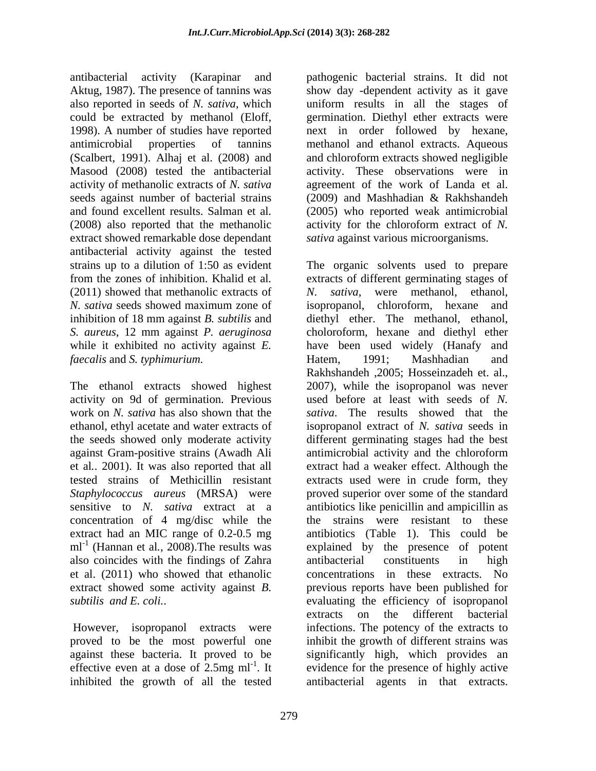antibacterial activity (Karapinar and pathogenic bacterial strains. It did not Aktug, 1987). The presence of tannins was show day -dependent activity as it gave also reported in seeds of *N. sativa*, which uniform results in all the stages of could be extracted by methanol (Eloff, germination. Diethyl ether extracts were 1998). A number of studies have reported next in order followed by hexane, antimicrobial properties of tannins methanol and ethanol extracts. Aqueous (Scalbert, 1991). Alhaj et al. (2008) and and chloroform extracts showed negligible Masood (2008) tested the antibacterial activity. These observations were in activity of methanolic extracts of *N. sativa* agreement of the work of Landa et al. seeds against number of bacterial strains (2009) and Mashhadian & Rakhshandeh and found excellent results. Salman et al*.* (2005) who reported weak antimicrobial (2008) also reported that the methanolic activity for the chloroform extract of *N.*  extract showed remarkable dose dependant antibacterial activity against the tested  $(2011)$  showed that methanolic extracts of  $N$ . *sativa*. while it exhibited no activity against *E*. have been used widely (Hanafy and *faecalis* and *S. typhimurium.*

extract had an MIC range of 0.2-0.5 mg also coincides with the findings of Zahra et al. (2011) who showed that ethanolic extract showed some activity against *B.*

effective even at a dose of  $2.5mg$  ml<sup>-1</sup>. It<br>inhibited the growth of all the tested inhibited the growth of all the tested antibacterial agents in that extracts.

*sativa* against various microorganisms.

strains up to a dilution of 1:50 as evident The organic solvents used to prepare from the zones of inhibition. Khalid et al*.* extracts of different germinating stages of *N. sativa* seeds showed maximum zone of inhibition of 18 mm against *B. subtilis* and diethyl ether. The methanol, ethanol, *S. aureus*, 12 mm against *P. aeruginosa* choloroform, hexane and diethyl ether The ethanol extracts showed highest 2007), while the isopropanol was never activity on 9d of germination. Previous used before at least with seeds of *N.*  work on *N. sativa* has also shown that the *sativa*. The results showed that the ethanol, ethyl acetate and water extracts of isopropanol extract of *N. sativa* seeds in the seeds showed only moderate activity different germinating stages had the best against Gram-positive strains (Awadh Ali antimicrobial activity and the chloroform et al*.*. 2001). It was also reported that all extract had a weaker effect. Although the tested strains of Methicillin resistant extracts used were in crude form, they *Staphylococcus aureus* (MRSA) were proved superior over some of the standard sensitive to *N. sativa* extract at a antibiotics like penicillin and ampicillin as concentration of 4 mg/disc while the the strains were resistant to these ml<sup>-1</sup> (Hannan et al., 2008). The results was explained by the presence of potent *subtilis and E. coli.* evaluating the efficiency of isopropanol However, isopropanol extracts were infections. The potency of the extracts to proved to be the most powerful one inhibit the growth of different strains was against these bacteria. It proved to be significantly high, which provides an . It evidence for the presence of highly active were methanol, ethanol, isopropanol, chloroform, hexane and have been used widely (Hanafy Hatem, 1991; Mashhadian and Rakhshandeh ,2005; Hosseinzadeh et. al., antibiotics (Table 1). This could be antibacterial constituents in high concentrations in these extracts. No previous reports have been published for extracts on the different bacterial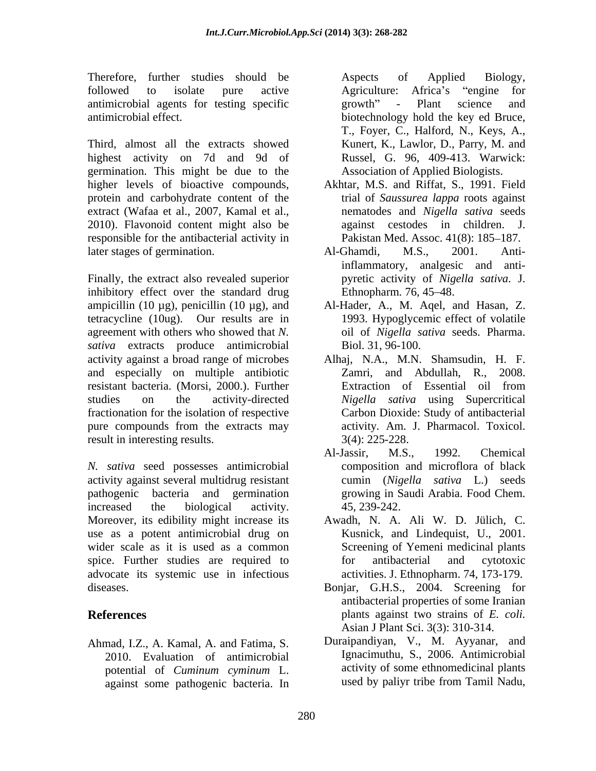Therefore, further studies should be Aspects of Applied Biology, followed to isolate pure active Agriculture: Africa's "engine for antimicrobial agents for testing specific antimicrobial effect. biotechnology hold the key ed Bruce,

Third, almost all the extracts showed highest activity on 7d and 9d of germination. This might be due to the higher levels of bioactive compounds, Akhtar, M.S. and Riffat, S., 1991. Field protein and carbohydrate content of the trial of *Saussurea lappa* roots against extract (Wafaa et al., 2007, Kamal et al., 2010). Flavonoid content might also be responsible for the antibacterial activity in later stages of germination. Al-Ghamdi, M.S., 2001. Anti-

Finally, the extract also revealed superior inhibitory effect over the standard drug Ethnopharm 76, 45–48. ampicillin (10  $\mu$ g), penicillin (10  $\mu$ g), and tetracycline (10ug). Our results are in agreement with others who showed that *N. sativa* extracts produce antimicrobial activity against a broad range of microbes Alhaj, N.A., M.N. Shamsudin, H. F. and especially on multiple antibiotic resistant bacteria. (Morsi, 2000.). Further studies on the activity-directed *Nigella sativa* using Supercritical fractionation for the isolation of respective pure compounds from the extracts may result in interesting results.

*N. sativa* seed possesses antimicrobial activity against several multidrug resistant pathogenic bacteria and germination increased the biological activity. Moreover, its edibility might increase its Awadh, N. A. Ali W. D. Jülich, C. use as a potent antimicrobial drug on wider scale as it is used as a common spice. Further studies are required to for antibacterial and cytotoxic advocate its systemic use in infectious

Ahmad, I.Z., A. Kamal, A. and Fatima, S. 2010. Evaluation of antimicrobial against some pathogenic bacteria. In used by paliyr tribe from Tamil Nadu,

Aspects of Applied Biology, Agriculture: Africa's "engine for growth" - Plant science and T., Foyer, C., Halford, N., Keys, A., Kunert, K., Lawlor, D., Parry, M. and Russel, G. 96, 409-413. Warwick: Association of Applied Biologists.

- nematodes and *Nigella sativa* seeds against cestodes in children. J. Pakistan Med. Assoc. 41(8): 185–187.
- Al-Ghamdi, M.S., 2001. Antiinflammatory, analgesic and anti pyretic activity of *Nigella sativa*. J. Ethnopharm. 76, 45–48.
- Al-Hader, A., M. Aqel, and Hasan, Z. 1993. Hypoglycemic effect of volatile oil of *Nigella sativa* seeds. Pharma. Biol. 31, 96-100.
- Zamri, and Abdullah, R., 2008. Extraction of Essential oil from Carbon Dioxide: Study of antibacterial activity*.* Am. J. Pharmacol. Toxicol. 3(4): 225-228.
- Al-Jassir, M.S., 1992. Chemical composition and microflora of black cumin (*Nigella sativa* L.) seeds growing in Saudi Arabia. Food Chem. 45, 239-242.
- Kusnick, and Lindequist, U., 2001. Screening of Yemeni medicinal plants for antibacterial and cytotoxic activities. J. Ethnopharm. 74, 173-179.
- diseases. Bonjar, G.H.S., 2004. Screening for **References** plants against two strains of *E. coli.* antibacterial properties of some Iranian Asian J Plant Sci. 3(3): 310-314.
	- potential of *Cuminum cyminum* L. Duraipandiyan, V., M. Ayyanar, and Ignacimuthu, S., 2006. Antimicrobial activity of some ethnomedicinal plants used by paliyr tribe from Tamil Nadu,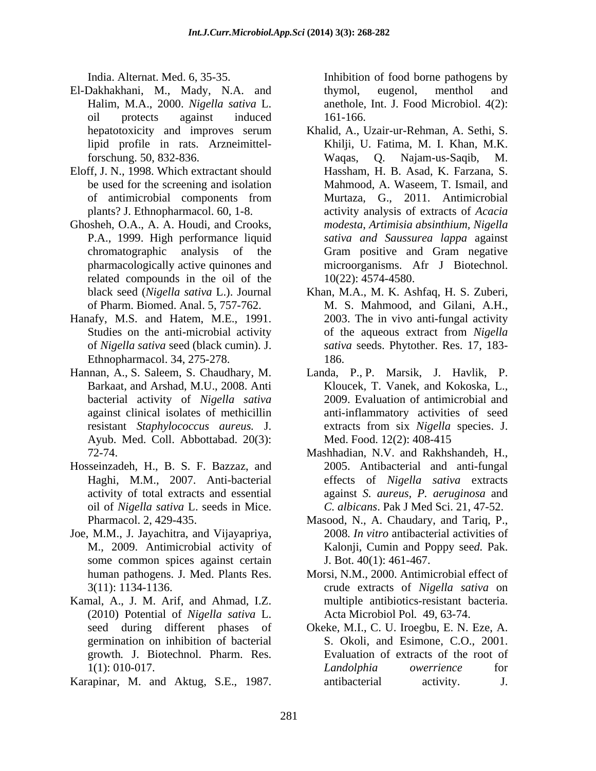- El-Dakhakhani, M., Mady, N.A. and Halim, M.A., 2000. *Nigella sativa* L. anethole, Int. J. Food Microbiol. 4(2): oil protects against induced lipid profile in rats. Arzneimittel-
- Eloff, J. N., 1998. Which extractant should
- Ghosheh, O.A., A. A. Houdi, and Crooks, related compounds in the oil of the  $10(22)$ : 4574-4580.
- Ethnopharmacol. 34, 275-278.
- Hannan, A., S. Saleem, S. Chaudhary, M. against clinical isolates of methicillin Ayub. Med. Coll. Abbottabad. 20(3):
- Hosseinzadeh, H., B. S. F. Bazzaz, and oil of *Nigella sativa* L. seeds in Mice.
- Joe, M.M., J. Jayachitra, and Vijayapriya, 2008. In vitro antibacterial activities of some common spices against certain
- Kamal, A., J. M. Arif, and Ahmad, I.Z. (2010) Potential of *Nigella sativa* L.
- Karapinar, M. and Aktug, S.E., 1987. antibacterial activity. J.

India. Alternat. Med. 6, 35-35. Inhibition of food borne pathogens by thymol, eugenol, menthol and 161-166.

- hepatotoxicity and improves serum Khalid, A., Uzair-ur-Rehman, A. Sethi, S. forschung. 50, 832-836. Waqas, Q. Najam-us-Saqib, M. be used for the screening and isolation Mahmood, A. Waseem, T. Ismail, and of antimicrobial components from Murtaza, G., 2011. Antimicrobial plants? J. Ethnopharmacol. 60, 1-8. activity analysis of extracts of *Acacia*  P.A., 1999. High performance liquid *sativa and Saussurea lappa* against chromatographic analysis of the pharmacologically active quinones and microorganisms. Afr J Biotechnol. Khilji, U. Fatima, M. I. Khan, M.K. Hassham, H. B. Asad, K. Farzana, S. Murtaza, G., 2011. Antimicrobial *modesta*, *Artimisia absinthium, Nigella* Gram positive and Gram negative microorganisms. Afr J Biotechnol.<br>10(22): 4574-4580.
- black seed (*Nigella sativa* L.). Journal Khan, M.A., M. K. Ashfaq, H. S. Zuberi, of Pharm. Biomed. Anal. 5, 757-762. Hanafy, M.S. and Hatem, M.E., 1991. 2003. The in vivo anti-fungal activity Studies on the anti-microbial activity of the aqueous extract from Nigella of *Nigella sativa* seed (black cumin). J. *sativa* seeds. Phytother. Res. 17, 183- M. S. Mahmood, and Gilani, A.H., 2003. The in vivo anti-fungal activity of the aqueous extract from *Nigella*  186.
	- Barkaat, and Arshad, M.U., 2008. Anti bacterial activity of *Nigella sativa* resistant *Staphylococcus aureus.* J. Landa, P., P. Marsik, J. Havlik, P. Kloucek, T. Vanek, and Kokoska, L., 2009. Evaluation of antimicrobial and anti-inflammatory activities of seed extracts from six *Nigella* species. J. Med. Food. 12(2): 408-415
	- 72-74. Mashhadian, N.V. and Rakhshandeh, H., Haghi, M.M., 2007. Anti-bacterial effects of *Nigella sativa* extracts activity of total extracts and essential against *S. aureus, P. aeruginosa* and Mashhadian, N.V. and Rakhshandeh, H., 2005. Antibacterial and anti-fungal *C. albicans*. Pak J Med Sci. 21, 47-52.
	- Pharmacol. 2, 429-435. Masood, N., A. Chaudary, and Tariq, P., M., 2009. Antimicrobial activity of Kalonji, Cumin and Poppy see*d.* Pak. Masood, N., A. Chaudary, and Tariq, P., 2008. *In vitro* antibacterial activities of J. Bot. 40(1): 461-467.
	- human pathogens. J. Med. Plants Res. Morsi, N.M., 2000. Antimicrobial effect of 3(11): 1134-1136.<br>3(11): 1134-1136. The extracts of *Nigella sativa* on Morsi, N.M., 2000. Antimicrobial effect of crude extracts of *Nigella sativa* on multiple antibiotics-resistant bacteria. Acta Microbiol Pol*.* 49, 63-74.
	- seed during different phases of Okeke, M.I., C. U. Iroegbu, E. N. Eze, A. germination on inhibition of bacterial S. Okoli, and Esimone, C.O., 2001. growth*.* J. Biotechnol. Pharm. Res. Evaluation of extracts of the root of 1(1): 010-017. Landolphia overrience for *Landolphia owerrience* for antibacterial activity. J.